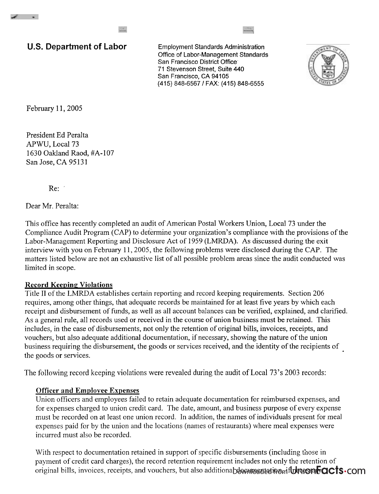**U.S. Department of Labor** Employment Standards Administration Office of Labor-Management Standards San Francisco District Office 71 Stevenson Street, Suite 440 San Francisco, CA 94105 (415) 848-6567 / FAX: (415) 848-6555



February 11, 2005

a.

President Ed Peralta APWU, Local 73 1630 Oakland Raod, #A-107 San Jose, CA 95131

Re: '

Dear Mr. Peralta:

This office has recently completed an audit of American Postal Workers Union, Local 73 under the Compliance Audit Program (CAP) to determine your organization's compliance with the provisions of the Labor-Management Reporting and Disclosure Act of 1959 (LMRDA). As discussed during the exit interview with you on February 11,2005, the following problems were disclosed during the CAP. The matters listed below are not an exhaustive list of all possible problem areas since the audit conducted was limited in scope.

# **Record Keeping Violations**

Title **I1** of the LMRDA establishes certain reporting and record keeping requirements. Section 206 requires, among other things, that adequate records be maintained for at least five years by which each receipt and disbursement of funds, as well as all account balances can be verified, explained, and clarified. As a general rule, all records used or received in the course of union business must be retained. This includes, in the case of disbursements, not only the retention of original bills, invoices, receipts, and vouchers, but also adequate additional documentation, if necessary, showing the nature of the union business requiring the disbursement, the goods or services received, and the identity of the recipients of the goods or services.

The following record keeping violations were revealed during the audit of Local 73's 2003 records:

# **Officer and Employee Expenses**

Union officers and employees failed to retain adequate documentation for reimbursed expenses, and for expenses charged to union credit card. The date, amount, and business purpose of every expense must be recorded on at least one union record. In addition, the names of individuals present for meal expenses paid for by the union and the locations (names of restaurants) where meal expenses were incurred must also be recorded.

With respect to documentation retained in support of specific disbursements (including those in payment of credit card charges), the record retention requirement includes not only the retention of original bills, invoices, receipts, and vouchers, but also additionabdownmasteation if the control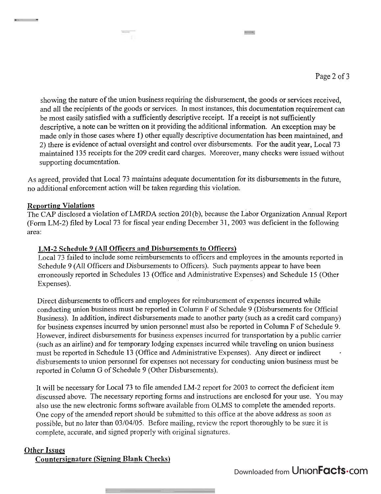showing the nature of the union business requiring the disbursement, the goods or services received, and all the recipients of the goods or services. In most instances, this documentation requirement can be most easily satisfied with a sufficiently descriptive receipt. If a receipt is not sufficiently descriptive, a note can be written on it providing the additional information. **An** exception may be made only in those cases where 1) other equally descriptive documentation has been maintained, and 2) there is evidence of actual oversight and control over disbursements. For the audit year, Local 73 maintained 135 receipts for the 209 credit card charges. Moreover, many checks were issued without supporting documentation.

 $\frac{1}{2} \left( \frac{1}{2} \right) \left( \frac{1}{2} \right) \left( \frac{1}{2} \right) \left( \frac{1}{2} \right) \left( \frac{1}{2} \right) \left( \frac{1}{2} \right) \left( \frac{1}{2} \right) \left( \frac{1}{2} \right) \left( \frac{1}{2} \right) \left( \frac{1}{2} \right) \left( \frac{1}{2} \right) \left( \frac{1}{2} \right) \left( \frac{1}{2} \right) \left( \frac{1}{2} \right) \left( \frac{1}{2} \right) \left( \frac{1}{2} \right) \left( \frac$ 

As agreed, provided that Local 73 maintains adequate documentation for its disbursements in the future, no additional enforcement action will be taken regarding this violation.

#### Reporting Violations

**ASS 2012 12:00 12:00** 

The CAP disclosed a violation of LMRDA section 201(b), because the Labor Organization Annual Report (Form LM-2) filed by Local 73 for fiscal year ending December 31,2003 was deficient in the following area:

### **LM-2** Schedule 9 (A11 Officers **and** Disbursements to Officers)

Local 73 failed to include some reimbursements to officers and employees in the amounts reported in Schedule 9 (All Officers and Disbursements to Officers). Such payments appear to have been erroneously reported in Schedules 13 (Office and Administrative Expenses) and Schedule 15 (Other Expenses).

Direct disbursements to officers and employees for reimbursement of expenses incurred while conducting union business must be reported in Column F of Schedule 9 (Disbursements for Official Business). In addition, indirect disbursements made to another party (such as a credit card company) for business expenses incurred by union personnel must also be reported in Column F of Schedule 9. However, indirect disbursements for business expenses incurred for transportation by a public carrier (such as an airline) and for temporary lodging expenses incurred while traveling on union business must be reported in Schedule 13 (Office and Administrative Expenses). Any direct or indirect disbursements to union personnel for expenses not necessary for conducting union business must be reported in Column G of Schedule 9 (Other Disbursements).

It will be necessary for Local 73 to file amended LM-2 report for 2003 to correct the deficient item discussed above. The necessary reporting forms and instructions are enclosed for your use. You may also use the new electronic forms software available from OLMS to complete the amended reports. One copy of the amended report should be submitted to this office at the above address as soon as possible, but no later than 03/04/05. Before mailing, review the report thoroughly to be sure it is complete, accurate, and signed properly with original signatures.

## Other Issues

Countersignature (Signing Blank Checks)

Downloaded from UnionFacts.com